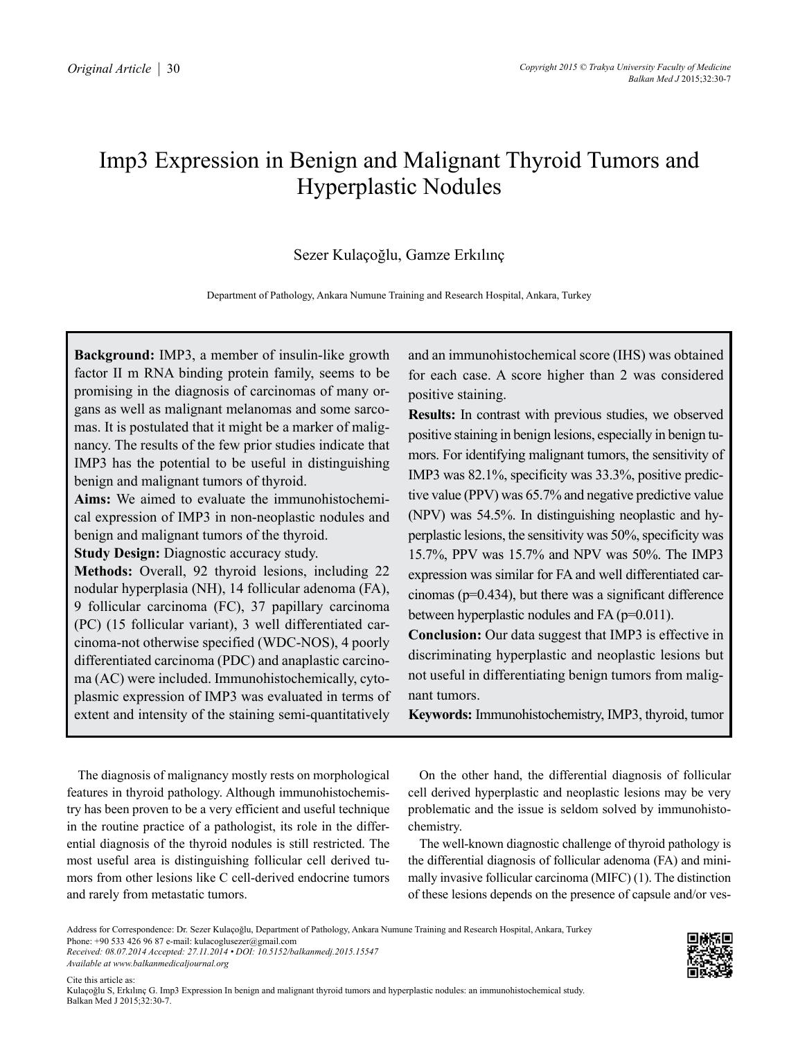# Imp3 Expression in Benign and Malignant Thyroid Tumors and Hyperplastic Nodules

# Sezer Kulaçoğlu, Gamze Erkılınç

Department of Pathology, Ankara Numune Training and Research Hospital, Ankara, Turkey

**Background:** IMP3, a member of insulin-like growth factor II m RNA binding protein family, seems to be promising in the diagnosis of carcinomas of many organs as well as malignant melanomas and some sarcomas. It is postulated that it might be a marker of malignancy. The results of the few prior studies indicate that IMP3 has the potential to be useful in distinguishing benign and malignant tumors of thyroid.

**Aims:** We aimed to evaluate the immunohistochemical expression of IMP3 in non-neoplastic nodules and benign and malignant tumors of the thyroid.

**Study Design:** Diagnostic accuracy study.

**Methods:** Overall, 92 thyroid lesions, including 22 nodular hyperplasia (NH), 14 follicular adenoma (FA), 9 follicular carcinoma (FC), 37 papillary carcinoma (PC) (15 follicular variant), 3 well differentiated carcinoma-not otherwise specified (WDC-NOS), 4 poorly differentiated carcinoma (PDC) and anaplastic carcinoma (AC) were included. Immunohistochemically, cytoplasmic expression of IMP3 was evaluated in terms of extent and intensity of the staining semi-quantitatively and an immunohistochemical score (IHS) was obtained for each case. A score higher than 2 was considered positive staining.

**Results:** In contrast with previous studies, we observed positive staining in benign lesions, especially in benign tumors. For identifying malignant tumors, the sensitivity of IMP3 was 82.1%, specificity was 33.3%, positive predictive value (PPV) was 65.7% and negative predictive value (NPV) was 54.5%. In distinguishing neoplastic and hyperplastic lesions, the sensitivity was 50%, specificity was 15.7%, PPV was 15.7% and NPV was 50%. The IMP3 expression was similar for FA and well differentiated carcinomas (p=0.434), but there was a significant difference between hyperplastic nodules and FA (p=0.011).

**Conclusion:** Our data suggest that IMP3 is effective in discriminating hyperplastic and neoplastic lesions but not useful in differentiating benign tumors from malignant tumors.

**Keywords:** Immunohistochemistry, IMP3, thyroid, tumor

The diagnosis of malignancy mostly rests on morphological features in thyroid pathology. Although immunohistochemistry has been proven to be a very efficient and useful technique in the routine practice of a pathologist, its role in the differential diagnosis of the thyroid nodules is still restricted. The most useful area is distinguishing follicular cell derived tumors from other lesions like C cell-derived endocrine tumors and rarely from metastatic tumors.

On the other hand, the differential diagnosis of follicular cell derived hyperplastic and neoplastic lesions may be very problematic and the issue is seldom solved by immunohistochemistry.

The well-known diagnostic challenge of thyroid pathology is the differential diagnosis of follicular adenoma (FA) and minimally invasive follicular carcinoma (MIFC) (1). The distinction of these lesions depends on the presence of capsule and/or ves-

*Received: 08.07.2014 Accepted: 27.11.2014 • DOI: 10.5152/balkanmedj.2015.15547 Available at www.balkanmedicaljournal.org*



Address for Correspondence: Dr. Sezer Kulaçoğlu, Department of Pathology, Ankara Numune Training and Research Hospital, Ankara, Turkey Phone: +90 533 426 96 87 e-mail: kulacoglusezer@gmail.com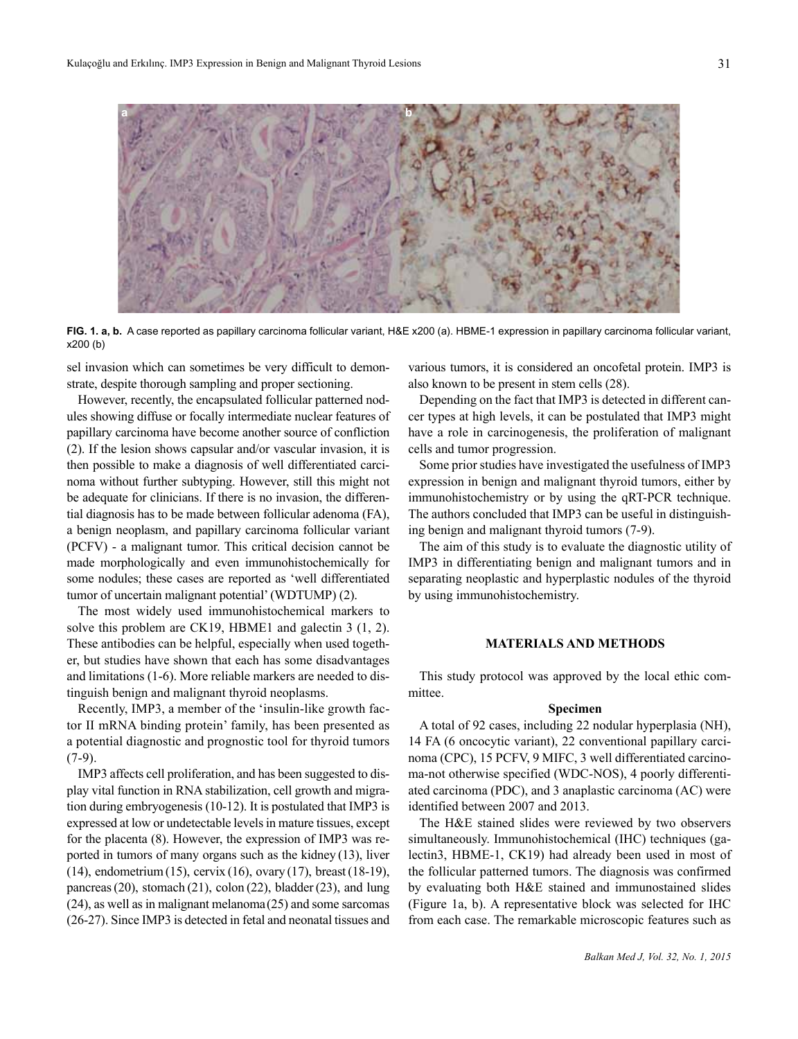

**FIG. 1. a, b.** A case reported as papillary carcinoma follicular variant, H&E x200 (a). HBME-1 expression in papillary carcinoma follicular variant, x200 (b)

sel invasion which can sometimes be very difficult to demonstrate, despite thorough sampling and proper sectioning.

However, recently, the encapsulated follicular patterned nodules showing diffuse or focally intermediate nuclear features of papillary carcinoma have become another source of confliction (2). If the lesion shows capsular and/or vascular invasion, it is then possible to make a diagnosis of well differentiated carcinoma without further subtyping. However, still this might not be adequate for clinicians. If there is no invasion, the differential diagnosis has to be made between follicular adenoma (FA), a benign neoplasm, and papillary carcinoma follicular variant (PCFV) - a malignant tumor. This critical decision cannot be made morphologically and even immunohistochemically for some nodules; these cases are reported as 'well differentiated tumor of uncertain malignant potential' (WDTUMP) (2).

The most widely used immunohistochemical markers to solve this problem are CK19, HBME1 and galectin 3 (1, 2). These antibodies can be helpful, especially when used together, but studies have shown that each has some disadvantages and limitations (1-6). More reliable markers are needed to distinguish benign and malignant thyroid neoplasms.

Recently, IMP3, a member of the 'insulin-like growth factor II mRNA binding protein' family, has been presented as a potential diagnostic and prognostic tool for thyroid tumors  $(7-9)$ .

IMP3 affects cell proliferation, and has been suggested to display vital function in RNA stabilization, cell growth and migration during embryogenesis (10-12). It is postulated that IMP3 is expressed at low or undetectable levels in mature tissues, except for the placenta (8). However, the expression of IMP3 was reported in tumors of many organs such as the kidney (13), liver (14), endometrium(15), cervix (16), ovary (17), breast(18-19), pancreas (20), stomach (21), colon (22), bladder (23), and lung (24), as well as in malignant melanoma(25) and some sarcomas (26-27). Since IMP3 is detected in fetal and neonatal tissues and various tumors, it is considered an oncofetal protein. IMP3 is also known to be present in stem cells (28).

Depending on the fact that IMP3 is detected in different cancer types at high levels, it can be postulated that IMP3 might have a role in carcinogenesis, the proliferation of malignant cells and tumor progression.

Some prior studies have investigated the usefulness of IMP3 expression in benign and malignant thyroid tumors, either by immunohistochemistry or by using the qRT-PCR technique. The authors concluded that IMP3 can be useful in distinguishing benign and malignant thyroid tumors (7-9).

The aim of this study is to evaluate the diagnostic utility of IMP3 in differentiating benign and malignant tumors and in separating neoplastic and hyperplastic nodules of the thyroid by using immunohistochemistry.

# **MATERIALS AND METHODS**

This study protocol was approved by the local ethic committee.

# **Specimen**

A total of 92 cases, including 22 nodular hyperplasia (NH), 14 FA (6 oncocytic variant), 22 conventional papillary carcinoma (CPC), 15 PCFV, 9 MIFC, 3 well differentiated carcinoma-not otherwise specified (WDC-NOS), 4 poorly differentiated carcinoma (PDC), and 3 anaplastic carcinoma (AC) were identified between 2007 and 2013.

The H&E stained slides were reviewed by two observers simultaneously. Immunohistochemical (IHC) techniques (galectin3, HBME-1, CK19) had already been used in most of the follicular patterned tumors. The diagnosis was confirmed by evaluating both H&E stained and immunostained slides (Figure 1a, b). A representative block was selected for IHC from each case. The remarkable microscopic features such as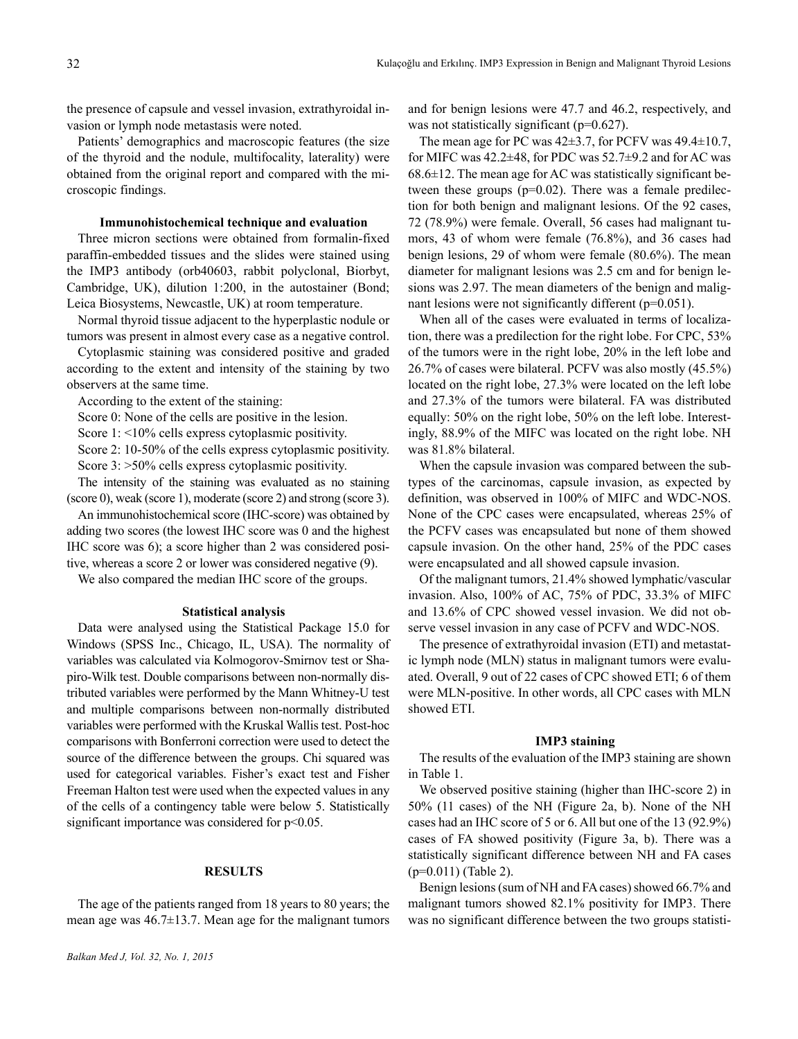the presence of capsule and vessel invasion, extrathyroidal invasion or lymph node metastasis were noted.

Patients' demographics and macroscopic features (the size of the thyroid and the nodule, multifocality, laterality) were obtained from the original report and compared with the microscopic findings.

# **Immunohistochemical technique and evaluation**

Three micron sections were obtained from formalin-fixed paraffin-embedded tissues and the slides were stained using the IMP3 antibody (orb40603, rabbit polyclonal, Biorbyt, Cambridge, UK), dilution 1:200, in the autostainer (Bond; Leica Biosystems, Newcastle, UK) at room temperature.

Normal thyroid tissue adjacent to the hyperplastic nodule or tumors was present in almost every case as a negative control.

Cytoplasmic staining was considered positive and graded according to the extent and intensity of the staining by two observers at the same time.

According to the extent of the staining:

Score 0: None of the cells are positive in the lesion.

Score 1: <10% cells express cytoplasmic positivity.

Score 2: 10-50% of the cells express cytoplasmic positivity. Score 3: >50% cells express cytoplasmic positivity.

The intensity of the staining was evaluated as no staining (score 0), weak (score 1), moderate (score 2) and strong (score 3).

An immunohistochemical score (IHC-score) was obtained by adding two scores (the lowest IHC score was 0 and the highest IHC score was 6); a score higher than 2 was considered positive, whereas a score 2 or lower was considered negative (9).

We also compared the median IHC score of the groups.

#### **Statistical analysis**

Data were analysed using the Statistical Package 15.0 for Windows (SPSS Inc., Chicago, IL, USA). The normality of variables was calculated via Kolmogorov-Smirnov test or Shapiro-Wilk test. Double comparisons between non-normally distributed variables were performed by the Mann Whitney-U test and multiple comparisons between non-normally distributed variables were performed with the Kruskal Wallis test. Post-hoc comparisons with Bonferroni correction were used to detect the source of the difference between the groups. Chi squared was used for categorical variables. Fisher's exact test and Fisher Freeman Halton test were used when the expected values in any of the cells of a contingency table were below 5. Statistically significant importance was considered for  $p<0.05$ .

### **RESULTS**

The age of the patients ranged from 18 years to 80 years; the mean age was 46.7±13.7. Mean age for the malignant tumors and for benign lesions were 47.7 and 46.2, respectively, and was not statistically significant (p=0.627).

The mean age for PC was  $42\pm3.7$ , for PCFV was  $49.4\pm10.7$ , for MIFC was  $42.2\pm48$ , for PDC was  $52.7\pm9.2$  and for AC was  $68.6\pm12$ . The mean age for AC was statistically significant between these groups  $(p=0.02)$ . There was a female predilection for both benign and malignant lesions. Of the 92 cases, 72 (78.9%) were female. Overall, 56 cases had malignant tumors, 43 of whom were female (76.8%), and 36 cases had benign lesions, 29 of whom were female (80.6%). The mean diameter for malignant lesions was 2.5 cm and for benign lesions was 2.97. The mean diameters of the benign and malignant lesions were not significantly different (p=0.051).

When all of the cases were evaluated in terms of localization, there was a predilection for the right lobe. For CPC, 53% of the tumors were in the right lobe, 20% in the left lobe and 26.7% of cases were bilateral. PCFV was also mostly (45.5%) located on the right lobe, 27.3% were located on the left lobe and 27.3% of the tumors were bilateral. FA was distributed equally: 50% on the right lobe, 50% on the left lobe. Interestingly, 88.9% of the MIFC was located on the right lobe. NH was 81.8% bilateral.

When the capsule invasion was compared between the subtypes of the carcinomas, capsule invasion, as expected by definition, was observed in 100% of MIFC and WDC-NOS. None of the CPC cases were encapsulated, whereas 25% of the PCFV cases was encapsulated but none of them showed capsule invasion. On the other hand, 25% of the PDC cases were encapsulated and all showed capsule invasion.

Of the malignant tumors, 21.4% showed lymphatic/vascular invasion. Also, 100% of AC, 75% of PDC, 33.3% of MIFC and 13.6% of CPC showed vessel invasion. We did not observe vessel invasion in any case of PCFV and WDC-NOS.

The presence of extrathyroidal invasion (ETI) and metastatic lymph node (MLN) status in malignant tumors were evaluated. Overall, 9 out of 22 cases of CPC showed ETI; 6 of them were MLN-positive. In other words, all CPC cases with MLN showed ETI.

#### **IMP3 staining**

The results of the evaluation of the IMP3 staining are shown in Table 1.

We observed positive staining (higher than IHC-score 2) in 50% (11 cases) of the NH (Figure 2a, b). None of the NH cases had an IHC score of 5 or 6. All but one of the 13 (92.9%) cases of FA showed positivity (Figure 3a, b). There was a statistically significant difference between NH and FA cases (p=0.011) (Table 2).

Benign lesions (sum of NH and FA cases) showed 66.7% and malignant tumors showed 82.1% positivity for IMP3. There was no significant difference between the two groups statisti-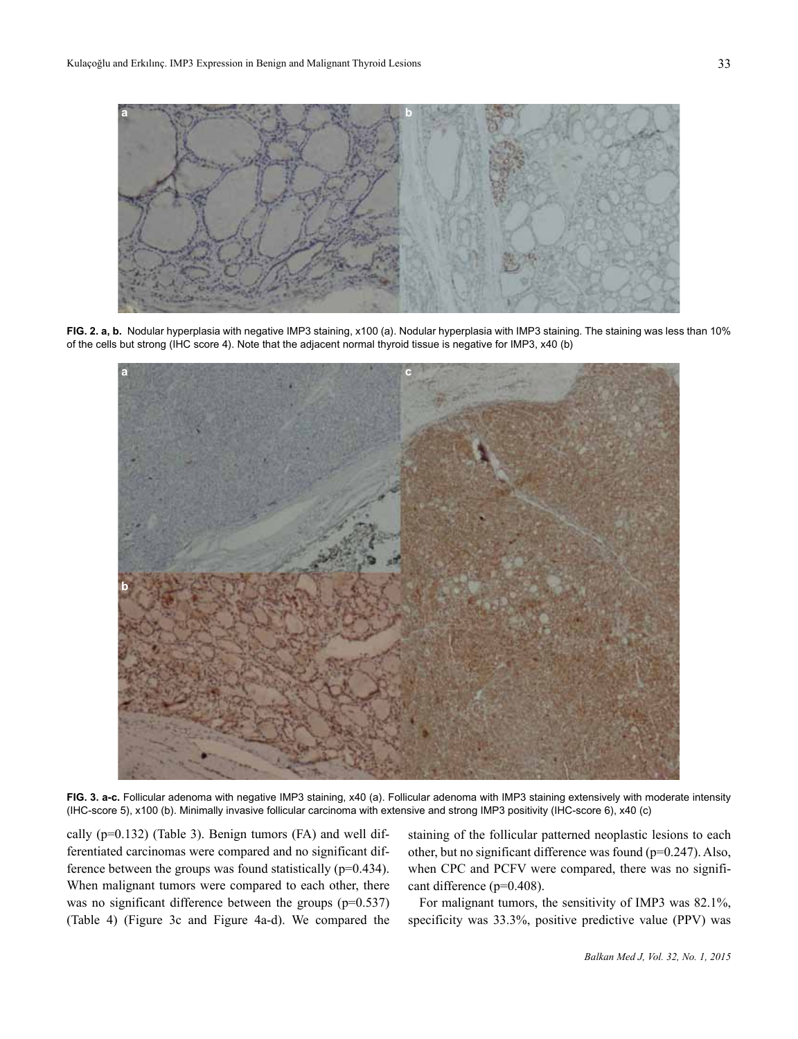

**FIG. 2. a, b.** Nodular hyperplasia with negative IMP3 staining, x100 (a). Nodular hyperplasia with IMP3 staining. The staining was less than 10% of the cells but strong (IHC score 4). Note that the adjacent normal thyroid tissue is negative for IMP3, x40 (b)



**FIG. 3. a-c.** Follicular adenoma with negative IMP3 staining, x40 (a). Follicular adenoma with IMP3 staining extensively with moderate intensity (IHC-score 5), x100 (b). Minimally invasive follicular carcinoma with extensive and strong IMP3 positivity (IHC-score 6), x40 (c)

cally (p=0.132) (Table 3). Benign tumors (FA) and well differentiated carcinomas were compared and no significant difference between the groups was found statistically (p=0.434). When malignant tumors were compared to each other, there was no significant difference between the groups (p=0.537) (Table 4) (Figure 3c and Figure 4a-d). We compared the

staining of the follicular patterned neoplastic lesions to each other, but no significant difference was found (p=0.247). Also, when CPC and PCFV were compared, there was no significant difference (p=0.408).

For malignant tumors, the sensitivity of IMP3 was 82.1%, specificity was 33.3%, positive predictive value (PPV) was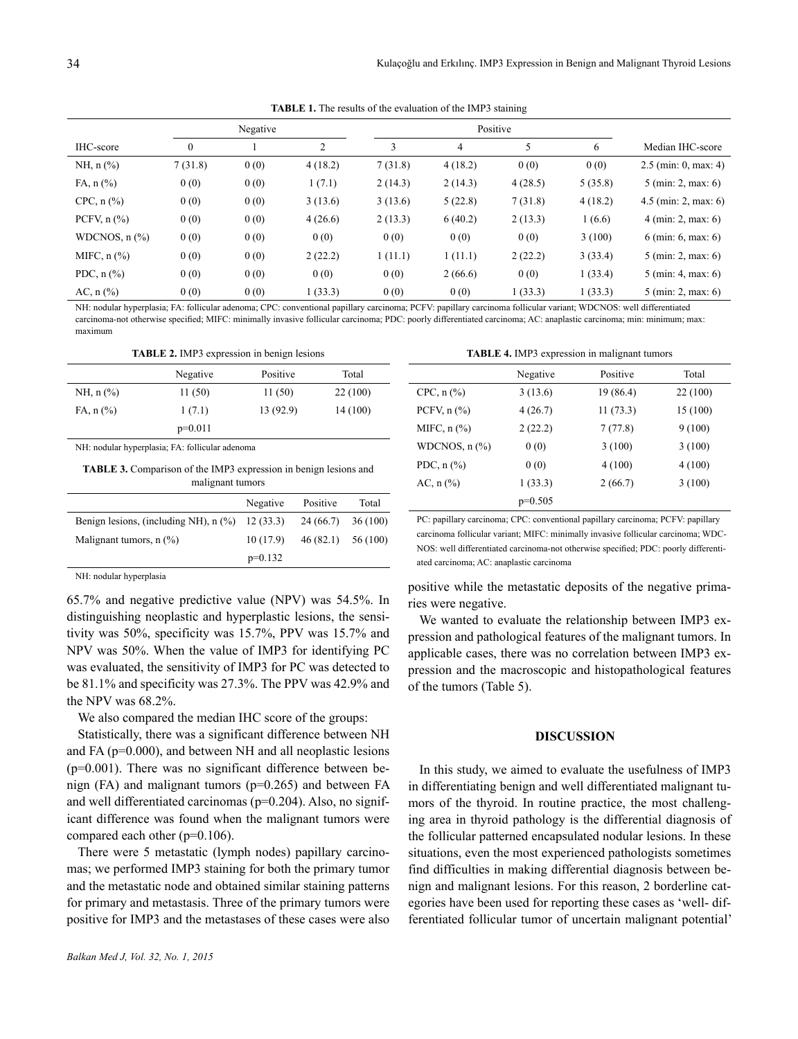**TABLE 1.** The results of the evaluation of the IMP3 staining

|                                        |          | Negative |         |         | Positive |         |         |                                       |
|----------------------------------------|----------|----------|---------|---------|----------|---------|---------|---------------------------------------|
| IHC-score                              | $\theta$ |          | 2       | 3       | 4        | 5       | 6       | Median IHC-score                      |
| $NH, n$ (%)                            | 7(31.8)  | 0(0)     | 4(18.2) | 7(31.8) | 4(18.2)  | 0(0)    | 0(0)    | $2.5$ (min: 0, max: 4)                |
| $FA, n (\%)$                           | 0(0)     | 0(0)     | 1(7.1)  | 2(14.3) | 2(14.3)  | 4(28.5) | 5(35.8) | $5 \text{ (min: 2, max: 6)}$          |
| $CPC$ , n $(\%$ )                      | 0(0)     | 0(0)     | 3(13.6) | 3(13.6) | 5(22.8)  | 7(31.8) | 4(18.2) | 4.5 (min: 2, max: 6)                  |
| PCFV, $n$ $\left(\frac{9}{6}\right)$   | 0(0)     | 0(0)     | 4(26.6) | 2(13.3) | 6(40.2)  | 2(13.3) | (6.6)   | $4 \text{ (min: 2, max: 6)}$          |
| WDCNOS, $n$ $\left(\frac{9}{6}\right)$ | 0(0)     | 0(0)     | 0(0)    | 0(0)    | 0(0)     | 0(0)    | 3(100)  | $6 \text{ (min: } 6, \text{max: } 6)$ |
| MIFC, $n$ $(\%)$                       | 0(0)     | 0(0)     | 2(22.2) | 1(11.1) | 1(11.1)  | 2(22.2) | 3(33.4) | $5 \text{ (min: 2, max: 6)}$          |
| PDC, $n$ $\left(\frac{9}{6}\right)$    | 0(0)     | 0(0)     | 0(0)    | 0(0)    | 2(66.6)  | 0(0)    | 1(33.4) | $5 \text{ (min: 4, max: 6)}$          |
| AC, $n$ (%)                            | 0(0)     | 0(0)     | 1(33.3) | 0(0)    | 0(0)     | 1(33.3) | 1(33.3) | $5 \text{ (min: 2, max: 6)}$          |

NH: nodular hyperplasia; FA: follicular adenoma; CPC: conventional papillary carcinoma; PCFV: papillary carcinoma follicular variant; WDCNOS: well differentiated carcinoma-not otherwise specified; MIFC: minimally invasive follicular carcinoma; PDC: poorly differentiated carcinoma; AC: anaplastic carcinoma; min: minimum; max: maximum

**TABLE 2.** IMP3 expression in benign lesions

|              | Negative  | Positive | Total   |
|--------------|-----------|----------|---------|
| $NH, n$ (%)  | 11(50)    | 11(50)   | 22(100) |
| $FA, n (\%)$ | 1(7.1)    | 13(92.9) | 14(100) |
|              | $p=0.011$ |          |         |

NH: nodular hyperplasia; FA: follicular adenoma

**TABLE 3.** Comparison of the IMP3 expression in benign lesions and malignant tumors

|                                                   | Negative  | Positive            | Total |
|---------------------------------------------------|-----------|---------------------|-------|
| Benign lesions, (including NH), $n$ (%) 12 (33.3) |           | $24(66.7)$ 36 (100) |       |
| Malignant tumors, $n$ $(\%)$                      | 10(17.9)  | $46(82.1)$ 56 (100) |       |
|                                                   | $p=0.132$ |                     |       |

NH: nodular hyperplasia

65.7% and negative predictive value (NPV) was 54.5%. In distinguishing neoplastic and hyperplastic lesions, the sensitivity was 50%, specificity was 15.7%, PPV was 15.7% and NPV was 50%. When the value of IMP3 for identifying PC was evaluated, the sensitivity of IMP3 for PC was detected to be 81.1% and specificity was 27.3%. The PPV was 42.9% and the NPV was 68.2%.

We also compared the median IHC score of the groups:

Statistically, there was a significant difference between NH and FA (p=0.000), and between NH and all neoplastic lesions  $(p=0.001)$ . There was no significant difference between benign (FA) and malignant tumors ( $p=0.265$ ) and between FA and well differentiated carcinomas (p=0.204). Also, no significant difference was found when the malignant tumors were compared each other (p=0.106).

There were 5 metastatic (lymph nodes) papillary carcinomas; we performed IMP3 staining for both the primary tumor and the metastatic node and obtained similar staining patterns for primary and metastasis. Three of the primary tumors were positive for IMP3 and the metastases of these cases were also **TABLE 4.** IMP3 expression in malignant tumors

|                                      | Negative  | Positive  | Total    |
|--------------------------------------|-----------|-----------|----------|
| $CPC$ , n $(\% )$                    | 3(13.6)   | 19 (86.4) | 22 (100) |
| PCFV, $n$ $\left(\frac{9}{6}\right)$ | 4(26.7)   | 11(73.3)  | 15 (100) |
| MIFC, $n$ $\left(\frac{9}{6}\right)$ | 2(22.2)   | 7(77.8)   | 9(100)   |
| WDCNOS, $n$ $\frac{\%}{\%}$          | 0(0)      | 3(100)    | 3(100)   |
| PDC, $n$ $(\%)$                      | 0(0)      | 4(100)    | 4(100)   |
| AC, $n$ $(\frac{9}{6})$              | 1(33.3)   | 2(66.7)   | 3(100)   |
|                                      | $p=0.505$ |           |          |

PC: papillary carcinoma; CPC: conventional papillary carcinoma; PCFV: papillary carcinoma follicular variant; MIFC: minimally invasive follicular carcinoma; WDC-NOS: well differentiated carcinoma-not otherwise specified; PDC: poorly differentiated carcinoma; AC: anaplastic carcinoma

positive while the metastatic deposits of the negative primaries were negative.

We wanted to evaluate the relationship between IMP3 expression and pathological features of the malignant tumors. In applicable cases, there was no correlation between IMP3 expression and the macroscopic and histopathological features of the tumors (Table 5).

#### **DISCUSSION**

In this study, we aimed to evaluate the usefulness of IMP3 in differentiating benign and well differentiated malignant tumors of the thyroid. In routine practice, the most challenging area in thyroid pathology is the differential diagnosis of the follicular patterned encapsulated nodular lesions. In these situations, even the most experienced pathologists sometimes find difficulties in making differential diagnosis between benign and malignant lesions. For this reason, 2 borderline categories have been used for reporting these cases as 'well- differentiated follicular tumor of uncertain malignant potential'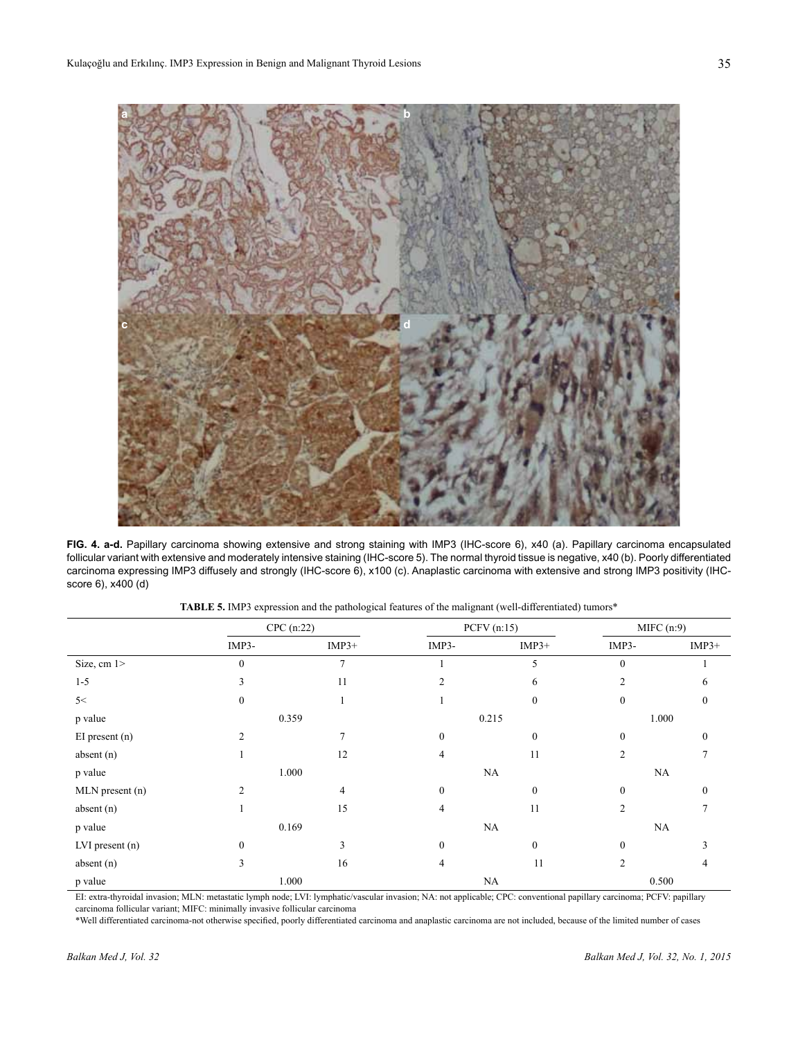

**FIG. 4. a-d.** Papillary carcinoma showing extensive and strong staining with IMP3 (IHC-score 6), x40 (a). Papillary carcinoma encapsulated follicular variant with extensive and moderately intensive staining (IHC-score 5). The normal thyroid tissue is negative, x40 (b). Poorly differentiated carcinoma expressing IMP3 diffusely and strongly (IHC-score 6), x100 (c). Anaplastic carcinoma with extensive and strong IMP3 positivity (IHCscore 6), x400 (d)

|                 | $CPC$ (n:22)   |                |                | PCFV (n:15)  | MIFC(n:9)      |                  |
|-----------------|----------------|----------------|----------------|--------------|----------------|------------------|
|                 | IMP3-          | $IMP3+$        | IMP3-          | $IMP3+$      | IMP3-          | $IMP3+$          |
| Size, cm 1>     | $\theta$       | 7              |                | 5            | $\mathbf{0}$   |                  |
| $1 - 5$         | 3              | 11             | $\overline{2}$ | 6            | $\overline{2}$ | 6                |
| 5<              | $\Omega$       |                |                | $\mathbf{0}$ | $\mathbf{0}$   | $\mathbf{0}$     |
| p value         | 0.359          |                | 0.215          |              | 1.000          |                  |
| EI present (n)  | $\overline{2}$ | 7              | $\mathbf{0}$   | $\mathbf{0}$ | $\mathbf{0}$   | $\mathbf{0}$     |
| absent (n)      |                | 12             | 4              | 11           | $\overline{2}$ | 7                |
| p value         | 1.000          |                | NA             |              | NA             |                  |
| MLN present (n) | $\overline{2}$ | $\overline{4}$ | $\mathbf{0}$   | $\mathbf{0}$ | $\mathbf{0}$   | $\boldsymbol{0}$ |
| absent (n)      |                | 15             | 4              | 11           | $\overline{2}$ |                  |
| p value         | 0.169          |                | NA             |              | NA             |                  |
| LVI present (n) | $\Omega$       | 3              | $\theta$       | $\theta$     | $\Omega$       |                  |
| absent (n)      | 3              | 16             | 4              | 11           | $\overline{2}$ | 4                |
| p value         | 1.000          |                | NA             |              | 0.500          |                  |

**TABLE 5.** IMP3 expression and the pathological features of the malignant (well-differentiated) tumors\*

EI: extra-thyroidal invasion; MLN: metastatic lymph node; LVI: lymphatic/vascular invasion; NA: not applicable; CPC: conventional papillary carcinoma; PCFV: papillary carcinoma follicular variant; MIFC: minimally invasive follicular carcinoma

\*Well differentiated carcinoma-not otherwise specified, poorly differentiated carcinoma and anaplastic carcinoma are not included, because of the limited number of cases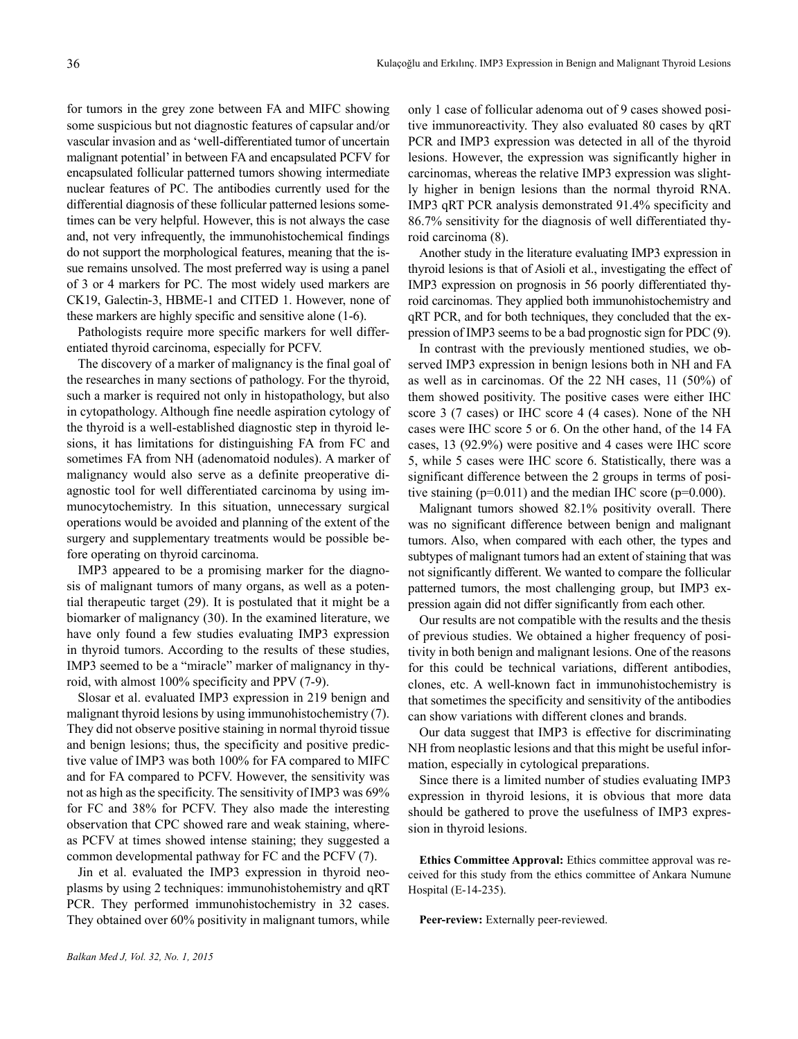for tumors in the grey zone between FA and MIFC showing some suspicious but not diagnostic features of capsular and/or vascular invasion and as 'well-differentiated tumor of uncertain malignant potential' in between FA and encapsulated PCFV for encapsulated follicular patterned tumors showing intermediate nuclear features of PC. The antibodies currently used for the differential diagnosis of these follicular patterned lesions sometimes can be very helpful. However, this is not always the case and, not very infrequently, the immunohistochemical findings do not support the morphological features, meaning that the issue remains unsolved. The most preferred way is using a panel of 3 or 4 markers for PC. The most widely used markers are CK19, Galectin-3, HBME-1 and CITED 1. However, none of these markers are highly specific and sensitive alone (1-6).

Pathologists require more specific markers for well differentiated thyroid carcinoma, especially for PCFV.

The discovery of a marker of malignancy is the final goal of the researches in many sections of pathology. For the thyroid, such a marker is required not only in histopathology, but also in cytopathology. Although fine needle aspiration cytology of the thyroid is a well-established diagnostic step in thyroid lesions, it has limitations for distinguishing FA from FC and sometimes FA from NH (adenomatoid nodules). A marker of malignancy would also serve as a definite preoperative diagnostic tool for well differentiated carcinoma by using immunocytochemistry. In this situation, unnecessary surgical operations would be avoided and planning of the extent of the surgery and supplementary treatments would be possible before operating on thyroid carcinoma.

IMP3 appeared to be a promising marker for the diagnosis of malignant tumors of many organs, as well as a potential therapeutic target (29). It is postulated that it might be a biomarker of malignancy (30). In the examined literature, we have only found a few studies evaluating IMP3 expression in thyroid tumors. According to the results of these studies, IMP3 seemed to be a "miracle" marker of malignancy in thyroid, with almost 100% specificity and PPV (7-9).

Slosar et al. evaluated IMP3 expression in 219 benign and malignant thyroid lesions by using immunohistochemistry (7). They did not observe positive staining in normal thyroid tissue and benign lesions; thus, the specificity and positive predictive value of IMP3 was both 100% for FA compared to MIFC and for FA compared to PCFV. However, the sensitivity was not as high as the specificity. The sensitivity of IMP3 was 69% for FC and 38% for PCFV. They also made the interesting observation that CPC showed rare and weak staining, whereas PCFV at times showed intense staining; they suggested a common developmental pathway for FC and the PCFV (7).

Jin et al. evaluated the IMP3 expression in thyroid neoplasms by using 2 techniques: immunohistohemistry and qRT PCR. They performed immunohistochemistry in 32 cases. They obtained over 60% positivity in malignant tumors, while only 1 case of follicular adenoma out of 9 cases showed positive immunoreactivity. They also evaluated 80 cases by qRT PCR and IMP3 expression was detected in all of the thyroid lesions. However, the expression was significantly higher in carcinomas, whereas the relative IMP3 expression was slightly higher in benign lesions than the normal thyroid RNA. IMP3 qRT PCR analysis demonstrated 91.4% specificity and 86.7% sensitivity for the diagnosis of well differentiated thyroid carcinoma (8).

Another study in the literature evaluating IMP3 expression in thyroid lesions is that of Asioli et al., investigating the effect of IMP3 expression on prognosis in 56 poorly differentiated thyroid carcinomas. They applied both immunohistochemistry and qRT PCR, and for both techniques, they concluded that the expression of IMP3 seems to be a bad prognostic sign for PDC (9).

In contrast with the previously mentioned studies, we observed IMP3 expression in benign lesions both in NH and FA as well as in carcinomas. Of the 22 NH cases, 11 (50%) of them showed positivity. The positive cases were either IHC score 3 (7 cases) or IHC score 4 (4 cases). None of the NH cases were IHC score 5 or 6. On the other hand, of the 14 FA cases, 13 (92.9%) were positive and 4 cases were IHC score 5, while 5 cases were IHC score 6. Statistically, there was a significant difference between the 2 groups in terms of positive staining  $(p=0.011)$  and the median IHC score  $(p=0.000)$ .

Malignant tumors showed 82.1% positivity overall. There was no significant difference between benign and malignant tumors. Also, when compared with each other, the types and subtypes of malignant tumors had an extent of staining that was not significantly different. We wanted to compare the follicular patterned tumors, the most challenging group, but IMP3 expression again did not differ significantly from each other.

Our results are not compatible with the results and the thesis of previous studies. We obtained a higher frequency of positivity in both benign and malignant lesions. One of the reasons for this could be technical variations, different antibodies, clones, etc. A well-known fact in immunohistochemistry is that sometimes the specificity and sensitivity of the antibodies can show variations with different clones and brands.

Our data suggest that IMP3 is effective for discriminating NH from neoplastic lesions and that this might be useful information, especially in cytological preparations.

Since there is a limited number of studies evaluating IMP3 expression in thyroid lesions, it is obvious that more data should be gathered to prove the usefulness of IMP3 expression in thyroid lesions.

**Ethics Committee Approval:** Ethics committee approval was received for this study from the ethics committee of Ankara Numune Hospital (E-14-235).

**Peer-review:** Externally peer-reviewed.